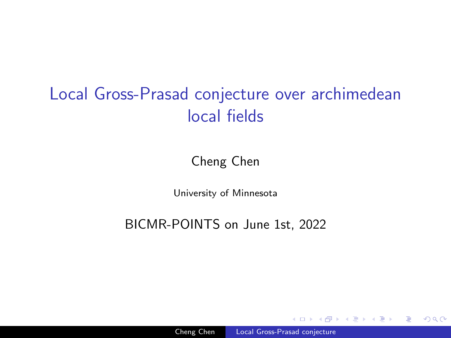# <span id="page-0-0"></span>Local Gross-Prasad conjecture over archimedean local fields

#### Cheng Chen

University of Minnesota

BICMR-POINTS on June 1st, 2022

 $\Omega$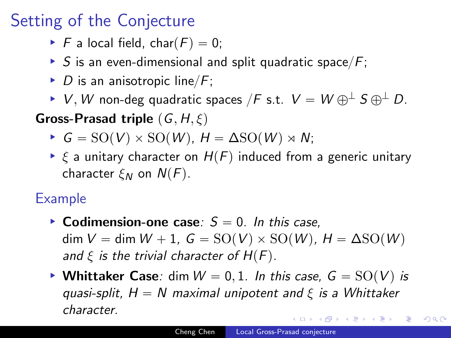# Setting of the Conjecture

- $\blacktriangleright$  F a local field, char(F) = 0;
- ▶ S is an even-dimensional and split quadratic space/ $F$ ;
- ▶ D is an anisotropic line/ $F$ ;

▶ V, W non-deg quadratic spaces /F s.t.  $V = W \oplus^{\perp} S \oplus^{\perp} D$ . **Gross-Prasad triple**  $(G, H, \xi)$ 

- $\blacktriangleright$   $G = SO(V) \times SO(W)$ ,  $H = \Delta SO(W) \rtimes N$ ;
- $\triangleright$   $\xi$  a unitary character on  $H(F)$  induced from a generic unitary character  $\xi_N$  on  $N(F)$ .

### Example

- ▶ Colimension-one case: <math>S = 0</math>. In this case,  $\dim V = \dim W + 1$ ,  $G = SO(V) \times SO(W)$ ,  $H = \Delta SO(W)$ and  $\xi$  is the trivial character of  $H(F)$ .
- Whittaker Case: dim  $W = 0, 1$ . In this case,  $G = SO(V)$  is quasi-split,  $H = N$  maximal unipotent and  $\xi$  is a Whittaker character.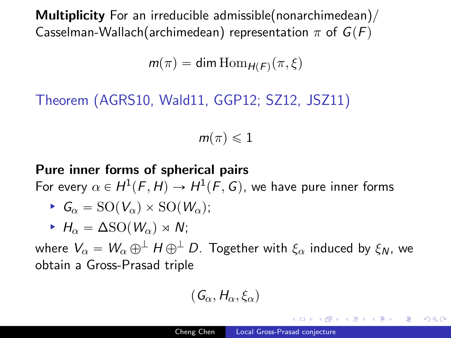Multiplicity For an irreducible admissible(nonarchimedean)/ Casselman-Wallach(archimedean) representation  $\pi$  of  $G(F)$ 

 $m(\pi) = \dim \mathrm{Hom}_{H(F)}(\pi, \xi)$ 

Theorem (AGRS10, Wald11, GGP12; SZ12, JSZ11)

 $m(\pi) \leqslant 1$ 

#### Pure inner forms of spherical pairs

For every  $\alpha \in H^1(F,H) \to H^1(F,G)$ , we have pure inner forms

$$
\blacktriangleright G_{\alpha} = \mathrm{SO}(V_{\alpha}) \times \mathrm{SO}(W_{\alpha});
$$

 $\blacktriangleright$  H<sub>α</sub> =  $\Delta$ SO(W<sub>α</sub>) × N;

where  $V_{\alpha} = W_{\alpha} \oplus^{\perp} H \oplus^{\perp} D$ . Together with  $\xi_{\alpha}$  induced by  $\xi_{N}$ , we obtain a Gross-Prasad triple

$$
(\mathsf{G}_\alpha,\mathsf{H}_\alpha,\xi_\alpha)
$$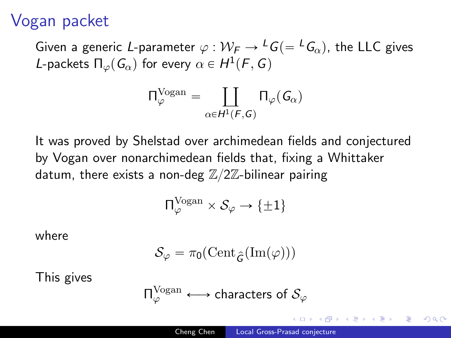### Vogan packet

Given a generic L-parameter  $\varphi : \mathcal{W}_F \to {}^L G (= {}^L G_{\alpha})$ , the LLC gives L-packets  $\Pi_{\varphi}(G_{\alpha})$  for every  $\alpha \in H^1(F, G)$ 

$$
\Pi_\varphi^{\rm Vogan} = \coprod_{\alpha \in H^1(F,G)} \Pi_\varphi(\mathit{G}_\alpha)
$$

It was proved by Shelstad over archimedean fields and conjectured by Vogan over nonarchimedean fields that, fixing a Whittaker datum, there exists a non-deg  $\mathbb{Z}/2\mathbb{Z}$ -bilinear pairing

$$
\Pi^{\rm Vogan}_\varphi \times \mathcal{S}_\varphi \to \{\pm 1\}
$$

where

$$
\mathcal{S}_\varphi = \pi_0(\mathrm{Cent}_{\widehat{G}}(\mathrm{Im}(\varphi)))
$$

This gives

$$
\Pi^{\rm Vogan}_\varphi \longleftrightarrow \text{characters of } \mathcal{S}_\varphi
$$

つくへ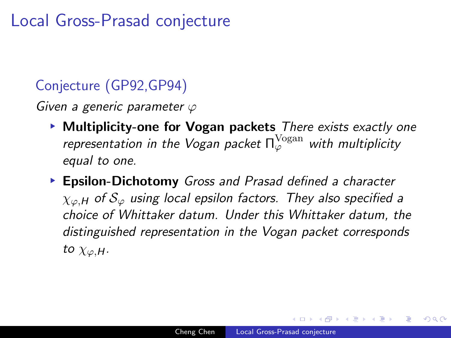### <span id="page-4-0"></span>Local Gross-Prasad conjecture

### Conjecture (GP92,GP94)

Given a generic parameter  $\varphi$ 

- ▶ Multiplicity-one for Vogan packets There exists exactly one representation in the Vogan packet  $\Pi_\varphi^{\rm Vogan}$  with multiplicity equal to one.
- ▶ Epsilon-Dichotomy Gross and Prasad defined a character  $\chi_{\varphi,H}$  of  $\mathcal{S}_{\varphi}$  using local epsilon factors. They also specified a choice of Whittaker datum. Under this Whittaker datum, the distinguished representation in the Vogan packet corresponds to  $\chi_{\varphi,H}$ .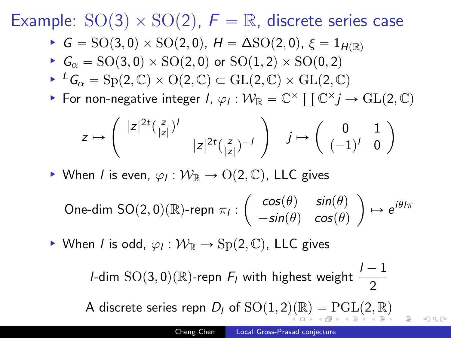<span id="page-5-0"></span>Example:  $SO(3) \times SO(2)$ ,  $F = \mathbb{R}$ , discrete series case

- $\blacktriangleright$   $G = SO(3, 0) \times SO(2, 0), H = \Delta SO(2, 0), \xi = 1_{H(\mathbb{R})}$
- $G_{\alpha} = SO(3,0) \times SO(2,0)$  or  $SO(1,2) \times SO(0,2)$
- $\blacktriangleright$   $^L G_{\alpha} = \text{Sp}(2, \mathbb{C}) \times \text{O}(2, \mathbb{C}) \subset \text{GL}(2, \mathbb{C}) \times \text{GL}(2, \mathbb{C})$
- For non-negative integer  $l$ ,  $\varphi_l : \mathcal{W}_{\mathbb{R}} = \mathbb{C}^\times \coprod \mathbb{C}^\times j \to GL(2, \mathbb{C})$ <br>For non-negative integer  $l$ ,  $\varphi_l : \mathcal{W}_{\mathbb{R}} = \mathbb{C}^\times \coprod \mathbb{C}^\times j \to GL(2, \mathbb{C})$  $\mathcal{L}$  $\frac{1}{2}$

$$
z\mapsto \left(\begin{array}{cc} |z|^{2t}(\frac{z}{|z|})^l & \\ & |z|^{2t}(\frac{z}{|z|})^{-l}\end{array}\right)\quad j\mapsto \left(\begin{array}{cc} 0 & 1 \\ (-1)^l & 0\end{array}\right)
$$

▶ When *l* is even,  $\varphi_l: \mathcal{W}_{\mathbb{R}} \to O(2,\mathbb{C})$ , LLC gives

One-dim SO(2,0)(R)-repn 
$$
\pi_I : \begin{pmatrix} \cos(\theta) & \sin(\theta) \\ -\sin(\theta) & \cos(\theta) \end{pmatrix} \mapsto e^{i\theta I \pi}
$$

► When *l* is odd,  $\varphi_l : \mathcal{W}_{\mathbb{R}} \to \text{Sp}(2, \mathbb{C})$ , LLC gives

*l*-dim  $\text{SO}(3,0)$ ( $\mathbb{R}$ )-repn  $F_l$  with highest weight  $\frac{l - 1}{2}$ A discrete series re[p](#page-26-0)n  $D_l$  of  $\text{SO}(1, 2)(\mathbb{R}) = \text{PGL}(2, \mathbb{R})$  $\text{SO}(1, 2)(\mathbb{R}) = \text{PGL}(2, \mathbb{R})$  $\text{SO}(1, 2)(\mathbb{R}) = \text{PGL}(2, \mathbb{R})$  $\text{SO}(1, 2)(\mathbb{R}) = \text{PGL}(2, \mathbb{R})$  $\text{SO}(1, 2)(\mathbb{R}) = \text{PGL}(2, \mathbb{R})$  $\text{SO}(1, 2)(\mathbb{R}) = \text{PGL}(2, \mathbb{R})$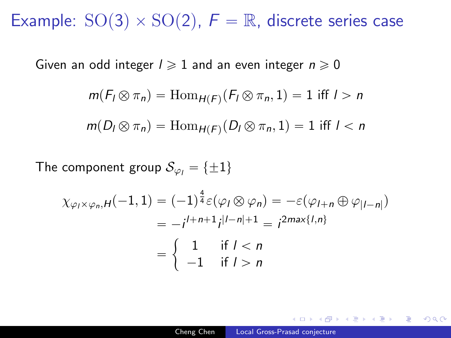<span id="page-6-0"></span>Example:  $SO(3) \times SO(2)$ ,  $F = \mathbb{R}$ , discrete series case

Given an odd integer  $l \geq 1$  and an even integer  $n \geq 0$ 

$$
m(F_I \otimes \pi_n) = \text{Hom}_{H(F)}(F_I \otimes \pi_n, 1) = 1 \text{ iff } I > n
$$

$$
m(D_l \otimes \pi_n) = \text{Hom}_{H(F)}(D_l \otimes \pi_n, 1) = 1 \text{ iff } l < n
$$

The component group  $S_{\varphi_i} = {\pm 1}$ 

$$
\chi_{\varphi_I \times \varphi_n, H}(-1, 1) = (-1)^{\frac{4}{4}} \varepsilon(\varphi_I \otimes \varphi_n) = -\varepsilon(\varphi_{I+n} \oplus \varphi_{|I-n|})
$$
  
=  $-i^{I+n+1} i^{|I-n|+1} = i^{2\max\{I,n\}}$   
=  $\begin{cases} 1 & \text{if } I < n \\ -1 & \text{if } I > n \end{cases}$ 

何 ▶ ( ヨ ) ( ヨ ) (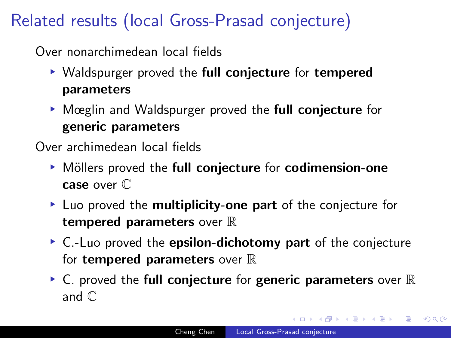# Related results (local Gross-Prasad conjecture)

Over nonarchimedean local fields

- ▶ Waldspurger proved the full conjecture for tempered parameters
- ▶ Mœglin and Waldspurger proved the full conjecture for generic parameters

Over archimedean local fields

- ▶ Möllers proved the full conjecture for codimension-one case over C
- ▶ Luo proved the **multiplicity-one part** of the conjecture for tempered parameters over  $\mathbb R$
- ▶ C.-Luo proved the epsilon-dichotomy part of the conjecture for **tempered parameters** over  $\mathbb R$
- $\triangleright$  C. proved the full conjecture for generic parameters over  $\mathbb R$ and C

化重新润滑脂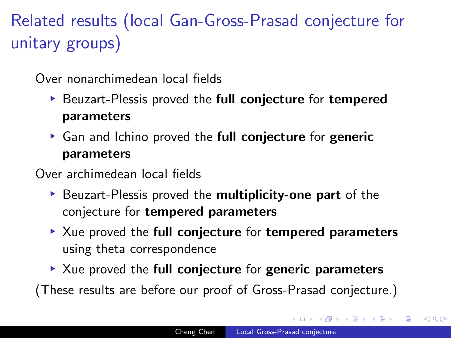Related results (local Gan-Gross-Prasad conjecture for unitary groups)

Over nonarchimedean local fields

- ▶ Beuzart-Plessis proved the full conjecture for tempered parameters
- ▶ Gan and Ichino proved the full conjecture for generic parameters

Over archimedean local fields

- ▶ Beuzart-Plessis proved the multiplicity-one part of the conjecture for tempered parameters
- ▶ Xue proved the full conjecture for tempered parameters using theta correspondence
- $\blacktriangleright$  Xue proved the full conjecture for generic parameters

(These results are before our proof of Gross-Prasad conjecture.)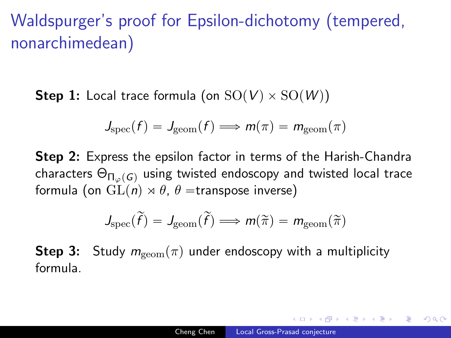# Waldspurger's proof for Epsilon-dichotomy (tempered, nonarchimedean)

**Step 1:** Local trace formula (on  $SO(V) \times SO(W)$ )

$$
J_{\rm spec}(f) = J_{\rm geom}(f) \Longrightarrow m(\pi) = m_{\rm geom}(\pi)
$$

**Step 2:** Express the epsilon factor in terms of the Harish-Chandra characters  $\Theta_{\Pi_{\varphi}(G)}$  using twisted endoscopy and twisted local trace formula (on  $GL(n) \rtimes \theta$ ,  $\theta$  =transpose inverse)

$$
J_{\text{spec}}(\widetilde{f})=J_{\text{geom}}(\widetilde{f})\Longrightarrow m(\widetilde{\pi})=m_{\text{geom}}(\widetilde{\pi})
$$

**Step 3:** Study  $m_{\text{geom}}(\pi)$  under endoscopy with a multiplicity formula.

 $\Omega$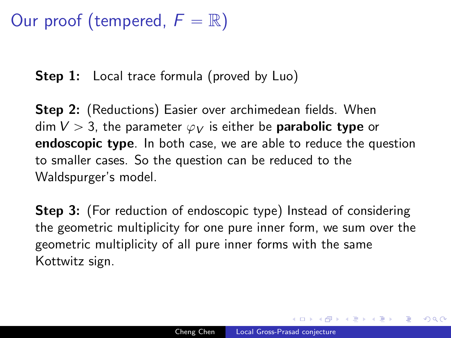### Our proof (tempered,  $F = \mathbb{R}$ )

**Step 1:** Local trace formula (proved by Luo)

**Step 2:** (Reductions) Easier over archimedean fields. When dim  $V > 3$ , the parameter  $\varphi_V$  is either be **parabolic type** or endoscopic type. In both case, we are able to reduce the question to smaller cases. So the question can be reduced to the Waldspurger's model.

**Step 3:** (For reduction of endoscopic type) Instead of considering the geometric multiplicity for one pure inner form, we sum over the geometric multiplicity of all pure inner forms with the same Kottwitz sign.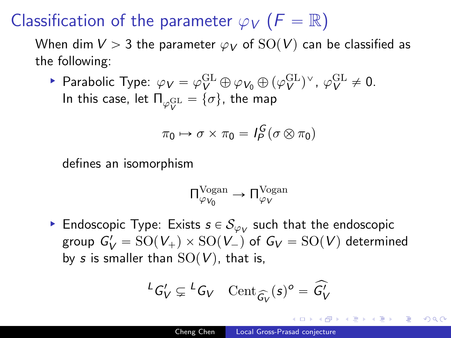# Classification of the parameter  $\varphi_V$  ( $F = \mathbb{R}$ )

When dim  $V > 3$  the parameter  $\varphi_V$  of  $SO(V)$  can be classified as the following:

► Parabolic Type:  $\varphi_V = \varphi_V^{\text{GL}} \oplus \varphi_{V_0} \oplus (\varphi_V^{\text{GL}})^{\vee}$ ,  $\varphi_V^{\text{GL}} \neq 0$ . In this case, let  $\Pi_{\varphi_V^{\rm GL}} = \{\sigma\}$ , the map

$$
\pi_0 \mapsto \sigma \times \pi_0 = I_P^G (\sigma \otimes \pi_0)
$$

defines an isomorphism

$$
\Pi^{\rm Vogan}_{\varphi_{V_0}} \rightarrow \Pi^{\rm Vogan}_{\varphi_{V}}
$$

 $\blacktriangleright$  Endoscopic Type: Exists  $s \in \mathcal{S}_{\varphi_V}$  such that the endoscopic group  $G'_V = SO(V_+) \times SO(V_-)$  of  $G_V = SO(V)$  determined by s is smaller than  $SO(V)$ , that is,

$$
{}^L G_V' \subsetneq {}^L G_V \quad \mathrm{Cent}_{\widehat{G_V}}(s)^o = \widehat{G_V'}
$$

伊 ▶ イヨ ▶ イヨ ▶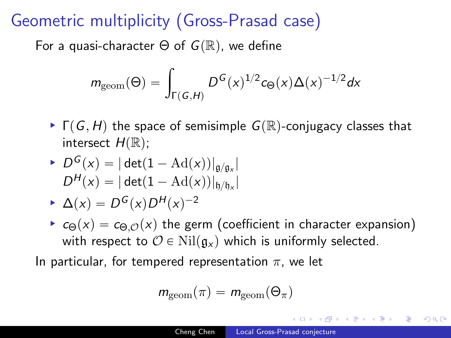### Geometric multiplicity (Gross-Prasad case)

For a quasi-character  $\Theta$  of  $G(\mathbb{R})$ , we define

$$
m_{\rm geom}(\Theta)=\int_{\Gamma(G,H)}D^G(x)^{1/2}c_{\Theta}(x)\Delta(x)^{-1/2}dx
$$

 $\blacktriangleright \Gamma(G, H)$  the space of semisimple  $G(\mathbb{R})$ -conjugacy classes that intersect  $H(\mathbb{R})$ ;

$$
\begin{aligned} &\blacktriangleright D^G(x) = |\det(1 - \mathrm{Ad}(x))|_{\mathfrak{g}/\mathfrak{g}_x}| \\ &D^H(x) = |\det(1 - \mathrm{Ad}(x))|_{\mathfrak{h}/\mathfrak{h}_x}| \end{aligned}
$$

$$
\blacktriangleright \Delta(x) = D^G(x)D^H(x)^{-2}
$$

 $\epsilon_{\Theta}(x) = c_{\Theta,\mathcal{O}}(x)$  the germ (coefficient in character expansion) with respect to  $\mathcal{O} \in Nil(\mathfrak{g}_x)$  which is uniformly selected.

In particular, for tempered representation  $\pi$ , we let

$$
m_{\rm geom}(\pi)=m_{\rm geom}(\Theta_\pi)
$$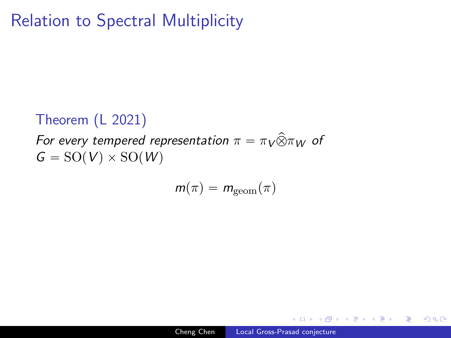### Relation to Spectral Multiplicity

### Theorem (L 2021)

For every tempered representation  $\pi = \pi \sqrt{\hat{\otimes}} \pi_W$  of  $G = SO(V) \times SO(W)$ 

$$
m(\pi) = m_{\rm geom}(\pi)
$$

 $\Omega$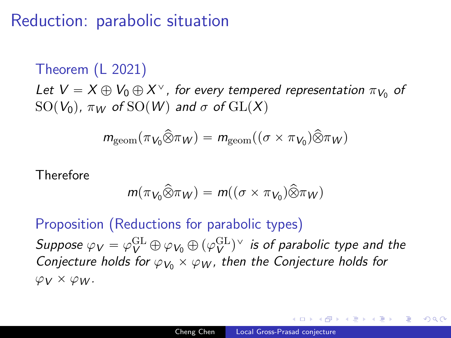### Reduction: parabolic situation

Theorem (L 2021) Let  $V = X \oplus V_0 \oplus X^{\vee}$ , for every tempered representation  $\pi_{V_0}$  of SO( $V_0$ ),  $\pi_W$  of SO(W) and  $\sigma$  of GL(X)

$$
m_{\text{geom}}(\pi_{V_0}\widehat{\otimes} \pi_W) = m_{\text{geom}}((\sigma \times \pi_{V_0})\widehat{\otimes} \pi_W)
$$

Therefore

$$
m(\pi_{V_0}\widehat{\otimes} \pi_W)=m((\sigma\times \pi_{V_0})\widehat{\otimes} \pi_W)
$$

Proposition (Reductions for parabolic types) Suppose  $\varphi_V = \varphi_V^{\rm GL}\oplus\varphi_{V_0}\oplus(\varphi_V^{\rm GL})^\vee$  is of parabolic type and the Conjecture holds for  $\varphi_{V_0} \times \varphi_W$ , then the Conjecture holds for  $\varphi_V \times \varphi_W$ .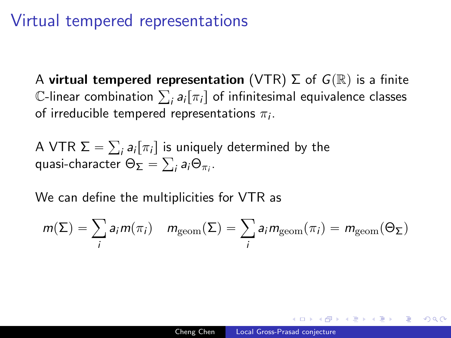### Virtual tempered representations

A virtual tempered representation (VTR)  $\Sigma$  of  $G(\mathbb{R})$  is a finite A **virtual tempered representation** (VTR) 2 of G(K) is a finite<br>C-linear combination  $\sum_i a_i [\pi_i]$  of infinitesimal equivalence classes of irreducible tempered representations  $\pi_i.$ 

A VTR  $\Sigma = \sum_i a_i [\pi_i]$  is uniquely determined by the ř quasi-character  $\Theta_{\mathbf{\Sigma}}=\sum_i \boldsymbol{a}_i \Theta_{\pi_i}.$ 

We can define the multiplicities for VTR as

$$
m(\Sigma) = \sum_{i} a_{i} m(\pi_{i}) \quad m_{\text{geom}}(\Sigma) = \sum_{i} a_{i} m_{\text{geom}}(\pi_{i}) = m_{\text{geom}}(\Theta_{\Sigma})
$$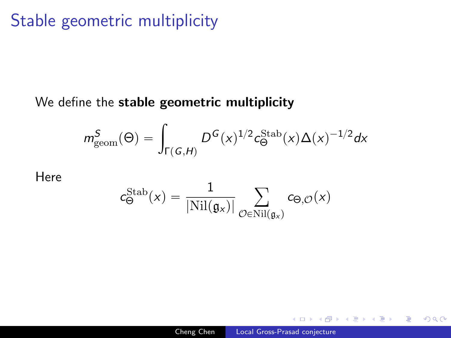### Stable geometric multiplicity

#### We define the stable geometric multiplicity

$$
m^S_{\rm geom}(\Theta)=\int_{\Gamma(\mathcal{G},H)}D^{\mathcal{G}}(x)^{1/2}c^{\rm Stab}_{\Theta}(x)\Delta(x)^{-1/2}dx
$$

Here

$$
c_{\Theta}^{\mathrm{Stab}}(x) = \frac{1}{|\mathrm{Nil}(\mathfrak{g}_x)|} \sum_{\mathcal{O} \in \mathrm{Nil}(\mathfrak{g}_x)} c_{\Theta,\mathcal{O}}(x)
$$

つくへ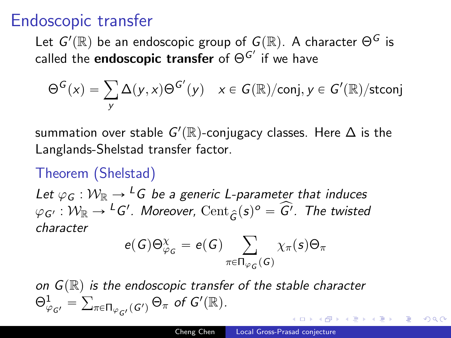### Endoscopic transfer

Let  $G'(\mathbb{R})$  be an endoscopic group of  $G(\mathbb{R}).$  A character  $\Theta^G$  is called the  $\mathsf{endoscopic}$  transfer of  $\Theta^{\mathsf{G}'}$  if we have

$$
\Theta^G(x) = \sum_{y} \Delta(y, x) \Theta^{G'}(y) \quad x \in G(\mathbb{R})/\text{conj}, y \in G'(\mathbb{R})/\text{stconj}
$$

summation over stable  $G'(\mathbb{R})$ -conjugacy classes. Here  $\Delta$  is the Langlands-Shelstad transfer factor.

### Theorem (Shelstad)

Let  $\varphi_G : \mathcal{W}_{\mathbb{R}} \to {}^L G$  be a generic L-parameter that induces  $\varphi_G$ , :  $W_{\mathbb{R}} \to {}^L G'$ . Moreover,  $\text{Cent}_{\widehat{G}}(s)^{\circ} = \widehat{G'}$ . The twisted character ÿ

$$
e(G)\Theta_{\varphi_G}^{\chi}=e(G)\sum_{\pi\in\Pi_{\varphi_G}(G)}\chi_{\pi}(s)\Theta_{\pi}
$$

on  $G(\mathbb{R})$  is the endoscopic transfer of the stable character  $\Theta^1_{\varphi_{G'}} = \sum_{\pi \in \Pi_{\varphi_{G'}}(G')} \Theta_{\pi}$  of  $G'(\mathbb{R})$ .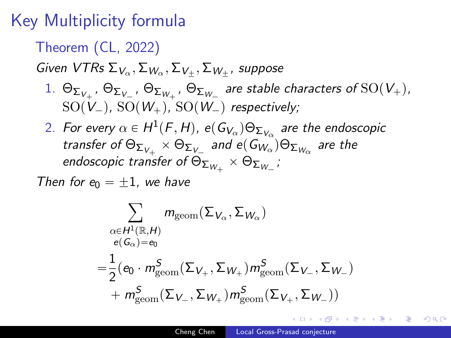# Key Multiplicity formula

Theorem (CL, 2022)

Given VTRs  $\Sigma_{V_{\alpha}}, \Sigma_{W_{\alpha}}, \Sigma_{V_{\pm}}, \Sigma_{W_{\pm}}$ , suppose

- $1.$   $\Theta_{\Sigma_{V_+}},$   $\Theta_{\Sigma_{V_-}},$   $\Theta_{\Sigma_{W_+}},$   $\Theta_{\Sigma_{W_-}}$  are stable characters of  $\mathrm{SO}(V_+),$  $SO(V_{-})$ ,  $SO(W_{+})$ ,  $SO(W_{-})$  respectively;
- 2. For every  $\alpha \in H^1(F,H)$ , e $(\mathsf{G}_{\mathsf{V}_{\alpha}}) \Theta_{\mathsf{\Sigma}_{\mathsf{V}_{\alpha}}}$  are the endoscopic transfer of  $\Theta_{\Sigma_{V_{+}}} \times \Theta_{\Sigma_{V_{-}}}$  and  $e(G_{W_{\alpha}}) \Theta_{\Sigma_{W_{\alpha}}}$  are the endoscopic transfer of  $\Theta_{\Sigma_{W_+}} \times \Theta_{\Sigma_{W_-}}$  ;

Then for  $\epsilon_0 = +1$ , we have

$$
\sum_{\substack{\alpha \in H^{1}(\mathbb{R}, H) \\ e(G_{\alpha}) = e_{0}}} m_{\text{geom}}(\Sigma_{V_{\alpha}}, \Sigma_{W_{\alpha}})
$$
\n
$$
= \frac{1}{2} (e_{0} \cdot m_{\text{geom}}^{S}(\Sigma_{V_{+}}, \Sigma_{W_{+}}) m_{\text{geom}}^{S}(\Sigma_{V_{-}}, \Sigma_{W_{-}})
$$
\n
$$
+ m_{\text{geom}}^{S}(\Sigma_{V_{-}}, \Sigma_{W_{+}}) m_{\text{geom}}^{S}(\Sigma_{V_{+}}, \Sigma_{W_{-}}))
$$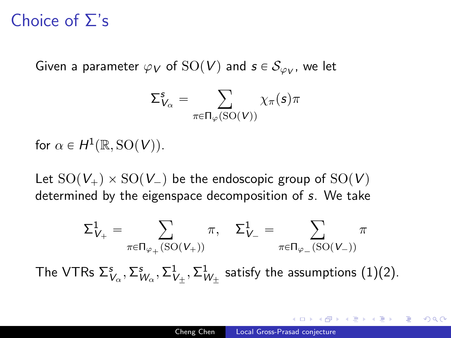### Choice of Σ's

Given a parameter  $\varphi_{\bm V}$  of  $\mathrm{SO}({\bm V})$  and  ${\bm s}\in \mathcal{S}_{\varphi_{\bm V}},$  we let

$$
\Sigma_{V_{\alpha}}^s = \sum_{\pi \in \Pi_{\varphi}(\mathrm{SO}(V))} \chi_{\pi}(s) \pi
$$

for  $\alpha \in H^1(\mathbb{R}, \mathrm{SO}(V))$ .

Let  $SO(V_+) \times SO(V_-)$  be the endoscopic group of  $SO(V)$ determined by the eigenspace decomposition of s. We take

$$
\Sigma_{V_+}^1 = \sum_{\pi \in \Pi_{\varphi_+}(\mathrm{SO}(V_+))} \pi, \quad \Sigma_{V_-}^1 = \sum_{\pi \in \Pi_{\varphi_-}(\mathrm{SO}(V_-))} \pi
$$

The VTRs  $\Sigma^s_{V_\alpha}, \Sigma^s_{W_\alpha}, \Sigma^1_{V_\pm}, \Sigma^1_{W_\pm}$  satisfy the assumptions  $(1)(2)$ .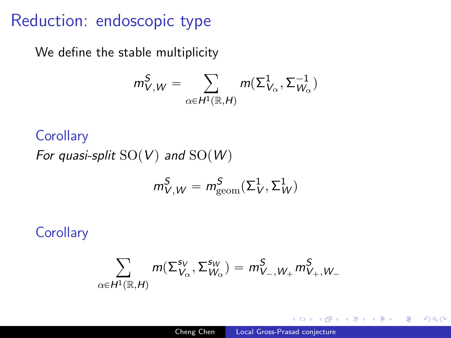### Reduction: endoscopic type

We define the stable multiplicity

$$
m_{V,W}^{S} = \sum_{\alpha \in H^{1}(\mathbb{R},H)} m(\Sigma_{V_{\alpha}}^{1}, \Sigma_{W_{\alpha}}^{-1})
$$

#### **Corollary**

For quasi-split  $SO(V)$  and  $SO(W)$ 

$$
m_{V,W}^S=m_{\rm geom}^S(\Sigma_V^1,\Sigma_W^1)
$$

### **Corollary**

$$
\sum_{\alpha \in H^1(\mathbb{R},H)} m(\Sigma_{V_{\alpha}}^{\mathsf{s}_V},\Sigma_{W_{\alpha}}^{\mathsf{s}_W}) = m_{V_{-},W_{+}}^{\mathsf{S}} m_{V_{+},W_{-}}^{\mathsf{S}}
$$

 $QQ$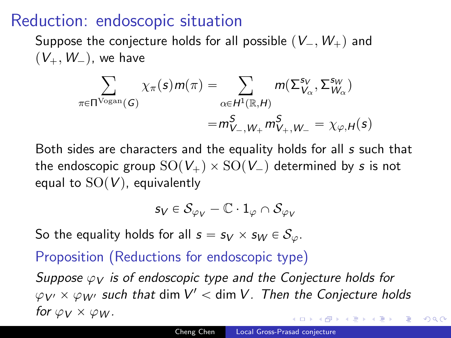### Reduction: endoscopic situation

Suppose the conjecture holds for all possible  $(V_-, W_+)$  and  $(V_+, W_-)$ , we have

$$
\sum_{\pi \in \Pi^{\text{Vogan}}(G)} \chi_{\pi}(s) m(\pi) = \sum_{\alpha \in H^1(\mathbb{R}, H)} m(\Sigma_{V_{\alpha}}^{s_V}, \Sigma_{W_{\alpha}}^{s_W})
$$

$$
= m_{V_{-}, W_{+}}^{S} m_{V_{+}, W_{-}}^{S} = \chi_{\varphi, H}(s)
$$

Both sides are characters and the equality holds for all s such that the endoscopic group  $SO(V_+) \times SO(V_-)$  determined by s is not equal to  $SO(V)$ , equivalently

$$
s_V\in\mathcal{S}_{\varphi_V}-\mathbb{C}\cdot 1_\varphi\cap\mathcal{S}_{\varphi_V}
$$

So the equality holds for all  $s = s_V \times s_W \in S_\varphi$ .

#### Proposition (Reductions for endoscopic type)

Suppose  $\varphi_V$  is of endoscopic type and the Conjecture holds for  $\varphi_{\mathsf{V}'} \times \varphi_{\mathsf{W}'}$  such that  $\dim \mathsf{V}' < \dim \mathsf{V}$  . Then the Conjecture holds for  $\varphi_V \times \varphi_W$ .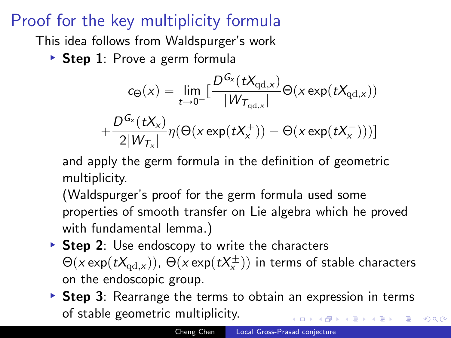# Proof for the key multiplicity formula

This idea follows from Waldspurger's work

Step 1: Prove a germ formula

$$
c_{\Theta}(x) = \lim_{t \to 0^{+}} \left[ \frac{D^{G_{x}}(tX_{\mathrm{qd},x})}{|W_{T_{\mathrm{qd},x}}|} \Theta(x \exp(tX_{\mathrm{qd},x})) + \frac{D^{G_{x}}(tX_{x})}{2|W_{T_{x}}|} \eta(\Theta(x \exp(tX_{x}^{+})) - \Theta(x \exp(tX_{x}^{-})) )\right]
$$

and apply the germ formula in the definition of geometric multiplicity.

(Waldspurger's proof for the germ formula used some properties of smooth transfer on Lie algebra which he proved with fundamental lemma.)

- $\triangleright$  Step 2: Use endoscopy to write the characters  $\Theta(\mathsf{x}\exp(t\mathsf{X}_{\mathrm{qd},\mathsf{x}}))$ ,  $\Theta(\mathsf{x}\exp(t\mathsf{X}_{\mathsf{x}}^\pm))$  in terms of stable characters on the endoscopic group.
- $\triangleright$  Step 3: Rearrange the terms to obtain an expression in terms of stable geometric multiplicity.

つくへ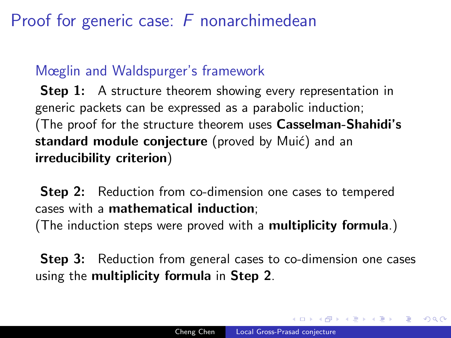# Proof for generic case: F nonarchimedean

### Mœglin and Waldspurger's framework

**Step 1:** A structure theorem showing every representation in generic packets can be expressed as a parabolic induction; (The proof for the structure theorem uses Casselman-Shahidi's standard module conjecture (proved by Muić) and an irreducibility criterion)

**Step 2:** Reduction from co-dimension one cases to tempered cases with a mathematical induction; (The induction steps were proved with a multiplicity formula.)

**Step 3:** Reduction from general cases to co-dimension one cases using the multiplicity formula in Step 2.

医单位 医单位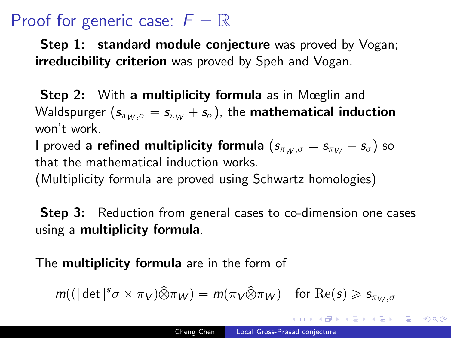### Proof for generic case:  $F = \mathbb{R}$

**Step 1: standard module conjecture** was proved by Vogan; **irreducibility criterion** was proved by Speh and Vogan.

**Step 2:** With a multiplicity formula as in Mœglin and Waldspurger  $(s_{\pi w, \sigma} = s_{\pi w} + s_{\sigma})$ , the **mathematical induction** won't work.

I proved a refined multiplicity formula  $(s_{\pi w, \sigma} = s_{\pi w} - s_{\sigma})$  so that the mathematical induction works.

(Multiplicity formula are proved using Schwartz homologies)

**Step 3:** Reduction from general cases to co-dimension one cases using a multiplicity formula.

The **multiplicity formula** are in the form of

$$
m((|\det|^s \sigma \times \pi_V) \widehat{\otimes} \pi_W) = m(\pi_V \widehat{\otimes} \pi_W) \text{ for } \text{Re}(s) \geq s_{\pi_W, \sigma}
$$

御 ト イヨ ト イヨ トー

 $\Omega$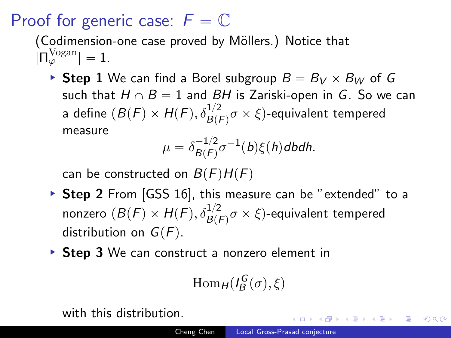### Proof for generic case:  $F = \mathbb{C}$

(Codimension-one case proved by Möllers.) Notice that  $|\Pi_{\varphi}^{\text{Vogan}}| = 1.$ 

▶ Step 1 We can find a Borel subgroup  $B = B_V \times B_W$  of G such that  $H \cap B = 1$  and BH is Zariski-open in G. So we can a define  $(B(F) \times H(F), \delta^{1/2}_{B(F)}\sigma \times \xi)$ -equivalent tempered measure

$$
\mu = \delta_{B(F)}^{-1/2} \sigma^{-1}(b)\xi(h)dbdh.
$$

can be constructed on  $B(F)H(F)$ 

- ▶ Step 2 From [GSS 16], this measure can be "extended" to a nonzero  $(B(F)\times H(F), \delta^{1/2}_{B(F)}\sigma\times \xi)$ -equivalent tempered distribution on  $G(F)$ .
- ▶ Step 3 We can construct a nonzero element in

$$
\operatorname{Hom}_H(I_B^G(\sigma), \xi)
$$

with this distribution.